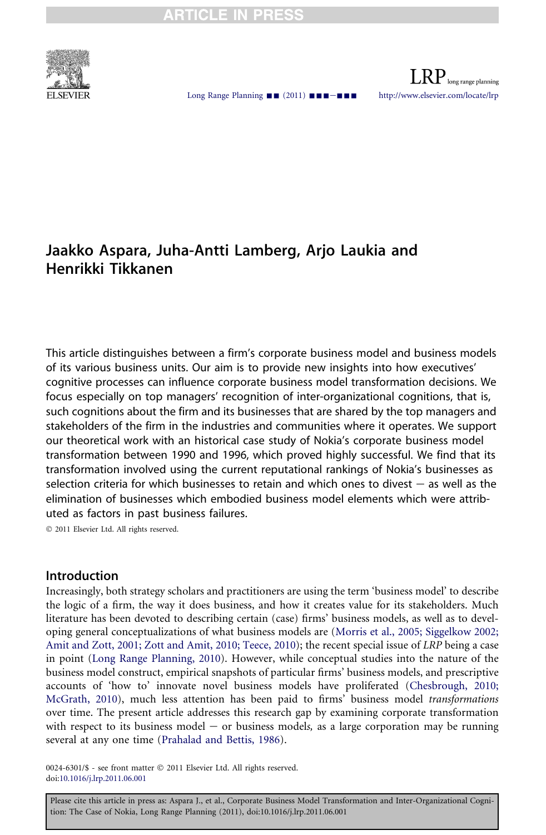

[Long Range Planning](http://dx.doi.org/10.1016/j.lrp.2011.06.001)  $\blacksquare$  [\(2011\)](http://dx.doi.org/10.1016/j.lrp.2011.06.001)  $\blacksquare$   $\blacksquare$   $\blacksquare$  <http://www.elsevier.com/locate/lrp>

 $LRP$  long range planning

## Jaakko Aspara, Juha-Antti Lamberg, Arjo Laukia and Henrikki Tikkanen

This article distinguishes between a firm's corporate business model and business models of its various business units. Our aim is to provide new insights into how executives' cognitive processes can influence corporate business model transformation decisions. We focus especially on top managers' recognition of inter-organizational cognitions, that is, such cognitions about the firm and its businesses that are shared by the top managers and stakeholders of the firm in the industries and communities where it operates. We support our theoretical work with an historical case study of Nokia's corporate business model transformation between 1990 and 1996, which proved highly successful. We find that its transformation involved using the current reputational rankings of Nokia's businesses as selection criteria for which businesses to retain and which ones to divest  $-$  as well as the elimination of businesses which embodied business model elements which were attributed as factors in past business failures.

2011 Elsevier Ltd. All rights reserved.

#### Introduction

Increasingly, both strategy scholars and practitioners are using the term 'business model' to describe the logic of a firm, the way it does business, and how it creates value for its stakeholders. Much literature has been devoted to describing certain (case) firms' business models, as well as to developing general conceptualizations of what business models are [\(Morris et al., 2005; Siggelkow 2002;](#page--1-0) [Amit and Zott, 2001; Zott and Amit, 2010; Teece, 2010](#page--1-0)); the recent special issue of LRP being a case in point [\(Long Range Planning, 2010\)](#page--1-0). However, while conceptual studies into the nature of the business model construct, empirical snapshots of particular firms' business models, and prescriptive accounts of 'how to' innovate novel business models have proliferated ([Chesbrough, 2010;](#page--1-0) [McGrath, 2010\)](#page--1-0), much less attention has been paid to firms' business model transformations over time. The present article addresses this research gap by examining corporate transformation with respect to its business model  $-$  or business models, as a large corporation may be running several at any one time [\(Prahalad and Bettis, 1986\)](#page--1-0).

0024-6301/\$ - see front matter © 2011 Elsevier Ltd. All rights reserved. doi:[10.1016/j.lrp.2011.06.001](http://dx.doi.org/10.1016/j.lrp.2011.06.001)

Please cite this article in press as: Aspara J., et al., Corporate Business Model Transformation and Inter-Organizational Cognition: The Case of Nokia, Long Range Planning (2011), doi:10.1016/j.lrp.2011.06.001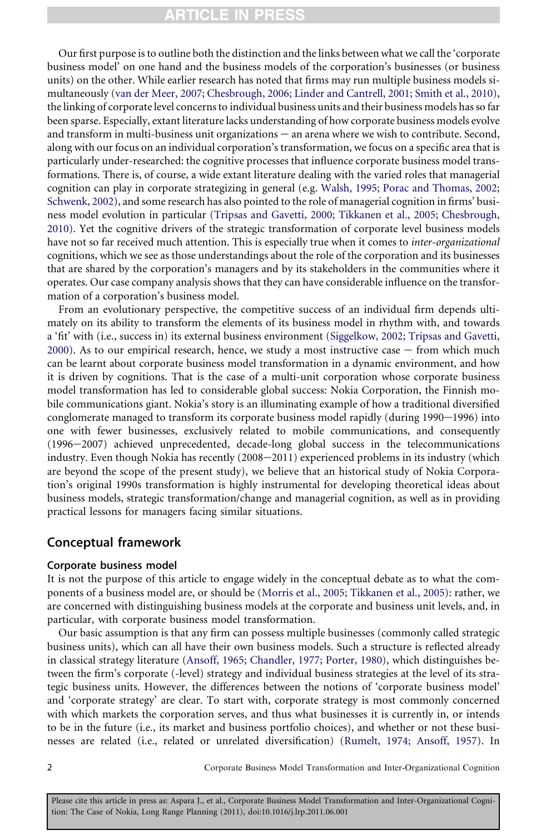## **ARTICLE IN PRESS**

Our first purpose is to outline both the distinction and the links between what we call the 'corporate business model' on one hand and the business models of the corporation's businesses (or business units) on the other. While earlier research has noted that firms may run multiple business models simultaneously ([van der Meer, 2007; Chesbrough, 2006; Linder and Cantrell, 2001; Smith et al., 2010\)](#page--1-0), the linking of corporate level concerns to individual business units and their business models has so far been sparse. Especially, extant literature lacks understanding of how corporate business models evolve and transform in multi-business unit organizations  $-$  an arena where we wish to contribute. Second, along with our focus on an individual corporation's transformation, we focus on a specific area that is particularly under-researched: the cognitive processes that influence corporate business model transformations. There is, of course, a wide extant literature dealing with the varied roles that managerial cognition can play in corporate strategizing in general (e.g. [Walsh, 1995; Porac and Thomas, 2002;](#page--1-0) [Schwenk, 2002](#page--1-0)), and some research has also pointed to the role of managerial cognition in firms' business model evolution in particular ([Tripsas and Gavetti, 2000; Tikkanen et al., 2005; Chesbrough,](#page--1-0) [2010\)](#page--1-0). Yet the cognitive drivers of the strategic transformation of corporate level business models have not so far received much attention. This is especially true when it comes to inter-organizational cognitions, which we see as those understandings about the role of the corporation and its businesses that are shared by the corporation's managers and by its stakeholders in the communities where it operates. Our case company analysis shows that they can have considerable influence on the transformation of a corporation's business model.

From an evolutionary perspective, the competitive success of an individual firm depends ultimately on its ability to transform the elements of its business model in rhythm with, and towards a 'fit' with (i.e., success in) its external business environment [\(Siggelkow, 2002; Tripsas and Gavetti,](#page--1-0)  $2000$ ). As to our empirical research, hence, we study a most instructive case  $-$  from which much can be learnt about corporate business model transformation in a dynamic environment, and how it is driven by cognitions. That is the case of a multi-unit corporation whose corporate business model transformation has led to considerable global success: Nokia Corporation, the Finnish mobile communications giant. Nokia's story is an illuminating example of how a traditional diversified conglomerate managed to transform its corporate business model rapidly (during  $1990-1996$ ) into one with fewer businesses, exclusively related to mobile communications, and consequently (1996-2007) achieved unprecedented, decade-long global success in the telecommunications industry. Even though Nokia has recently (2008-2011) experienced problems in its industry (which are beyond the scope of the present study), we believe that an historical study of Nokia Corporation's original 1990s transformation is highly instrumental for developing theoretical ideas about business models, strategic transformation/change and managerial cognition, as well as in providing practical lessons for managers facing similar situations.

### Conceptual framework

#### Corporate business model

It is not the purpose of this article to engage widely in the conceptual debate as to what the components of a business model are, or should be [\(Morris et al., 2005; Tikkanen et al., 2005](#page--1-0)): rather, we are concerned with distinguishing business models at the corporate and business unit levels, and, in particular, with corporate business model transformation.

Our basic assumption is that any firm can possess multiple businesses (commonly called strategic business units), which can all have their own business models. Such a structure is reflected already in classical strategy literature [\(Ansoff, 1965; Chandler, 1977; Porter, 1980](#page--1-0)), which distinguishes between the firm's corporate (-level) strategy and individual business strategies at the level of its strategic business units. However, the differences between the notions of 'corporate business model' and 'corporate strategy' are clear. To start with, corporate strategy is most commonly concerned with which markets the corporation serves, and thus what businesses it is currently in, or intends to be in the future (i.e., its market and business portfolio choices), and whether or not these businesses are related (i.e., related or unrelated diversification) [\(Rumelt, 1974; Ansoff, 1957\)](#page--1-0). In

2 Corporate Business Model Transformation and Inter-Organizational Cognition

Please cite this article in press as: Aspara J., et al., Corporate Business Model Transformation and Inter-Organizational Cognition: The Case of Nokia, Long Range Planning (2011), doi:10.1016/j.lrp.2011.06.001